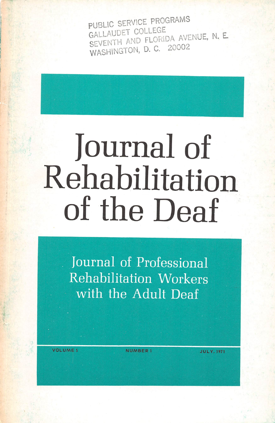PUBLIC SERVICE PROGRAMS<br>GALLAUDET COLLEGE<br>SEVENTH AND FLORIDA AVENUE, N. E WASHINGTON, D. C. 20002

## Journal of Rehabilitation of the Deaf

Journal of Professional Rehabilitation Workers with the Adult Deaf

VOLUME 5 NUMBER 1

**JULY, 1971**